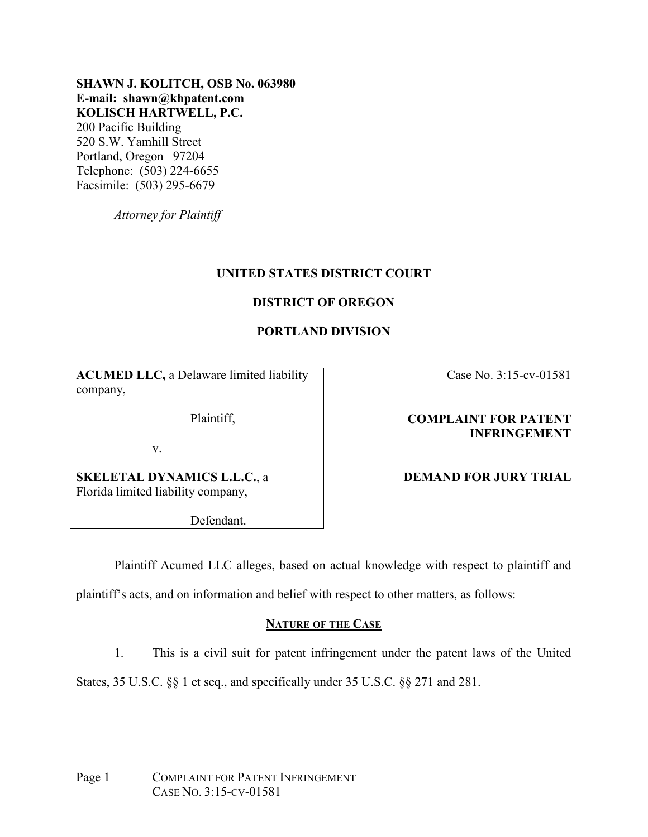# **SHAWN J. KOLITCH, OSB No. 063980 E-mail: shawn@khpatent.com KOLISCH HARTWELL, P.C.**

200 Pacific Building 520 S.W. Yamhill Street Portland, Oregon 97204 Telephone: (503) 224-6655 Facsimile: (503) 295-6679

*Attorney for Plaintiff*

# **UNITED STATES DISTRICT COURT**

# **DISTRICT OF OREGON**

# **PORTLAND DIVISION**

**ACUMED LLC,** a Delaware limited liability company,

Plaintiff,

v.

**SKELETAL DYNAMICS L.L.C.**, a Florida limited liability company,

Defendant.

Case No. 3:15-cv-01581

# **COMPLAINT FOR PATENT INFRINGEMENT**

# **DEMAND FOR JURY TRIAL**

Plaintiff Acumed LLC alleges, based on actual knowledge with respect to plaintiff and

plaintiff's acts, and on information and belief with respect to other matters, as follows:

# **NATURE OF THE CASE**

1. This is a civil suit for patent infringement under the patent laws of the United States, 35 U.S.C. §§ 1 et seq., and specifically under 35 U.S.C. §§ 271 and 281.

Page 1 – COMPLAINT FOR PATENT INFRINGEMENT CASE NO. 3:15-CV-01581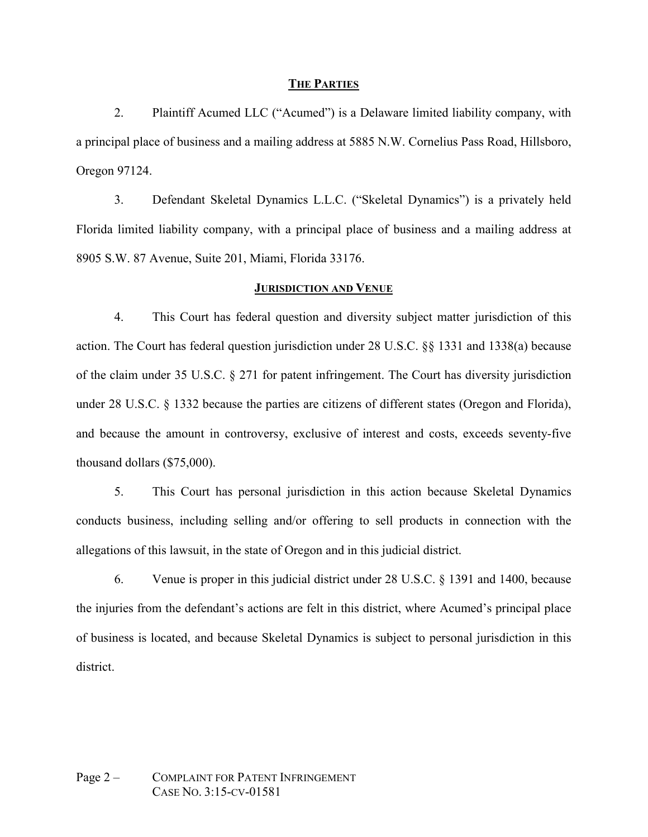### **THE PARTIES**

2. Plaintiff Acumed LLC ("Acumed") is a Delaware limited liability company, with a principal place of business and a mailing address at 5885 N.W. Cornelius Pass Road, Hillsboro, Oregon 97124.

3. Defendant Skeletal Dynamics L.L.C. ("Skeletal Dynamics") is a privately held Florida limited liability company, with a principal place of business and a mailing address at 8905 S.W. 87 Avenue, Suite 201, Miami, Florida 33176.

#### **JURISDICTION AND VENUE**

4. This Court has federal question and diversity subject matter jurisdiction of this action. The Court has federal question jurisdiction under 28 U.S.C. §§ 1331 and 1338(a) because of the claim under 35 U.S.C. § 271 for patent infringement. The Court has diversity jurisdiction under 28 U.S.C. § 1332 because the parties are citizens of different states (Oregon and Florida), and because the amount in controversy, exclusive of interest and costs, exceeds seventy-five thousand dollars (\$75,000).

5. This Court has personal jurisdiction in this action because Skeletal Dynamics conducts business, including selling and/or offering to sell products in connection with the allegations of this lawsuit, in the state of Oregon and in this judicial district.

6. Venue is proper in this judicial district under 28 U.S.C. § 1391 and 1400, because the injuries from the defendant's actions are felt in this district, where Acumed's principal place of business is located, and because Skeletal Dynamics is subject to personal jurisdiction in this district.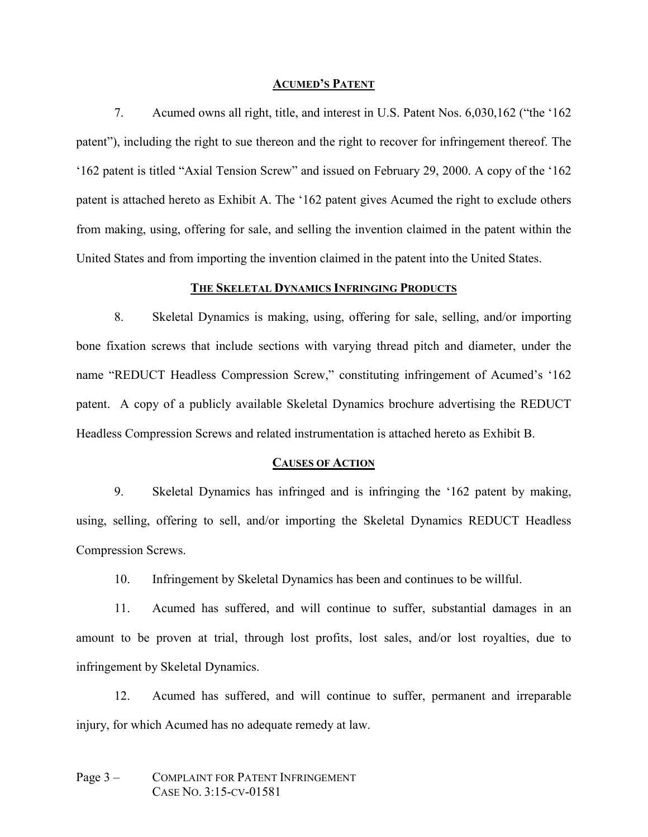#### **ACUMED'S PATENT**

7. Acumed owns all right, title, and interest in U.S. Patent Nos. 6,030,162 ("the '162 patent"), including the right to sue thereon and the right to recover for infringement thereof. The '162 patent is titled "Axial Tension Screw" and issued on February 29, 2000. A copy of the '162 patent is attached hereto as Exhibit A. The '162 patent gives Acumed the right to exclude others from making, using, offering for sale, and selling the invention claimed in the patent within the United States and from importing the invention claimed in the patent into the United States.

# **THE SKELETAL DYNAMICS INFRINGING PRODUCTS**

8. Skeletal Dynamics is making, using, offering for sale, selling, and/or importing bone fixation screws that include sections with varying thread pitch and diameter, under the name "REDUCT Headless Compression Screw," constituting infringement of Acumed's '162 patent. A copy of a publicly available Skeletal Dynamics brochure advertising the REDUCT Headless Compression Screws and related instrumentation is attached hereto as Exhibit B.

#### **CAUSES OF ACTION**

9. Skeletal Dynamics has infringed and is infringing the '162 patent by making, using, selling, offering to sell, and/or importing the Skeletal Dynamics REDUCT Headless Compression Screws.

10. Infringement by Skeletal Dynamics has been and continues to be willful.

11. Acumed has suffered, and will continue to suffer, substantial damages in an amount to be proven at trial, through lost profits, lost sales, and/or lost royalties, due to infringement by Skeletal Dynamics.

12. Acumed has suffered, and will continue to suffer, permanent and irreparable injury, for which Acumed has no adequate remedy at law.

# Page 3 – COMPLAINT FOR PATENT INFRINGEMENT CASE NO. 3:15-CV-01581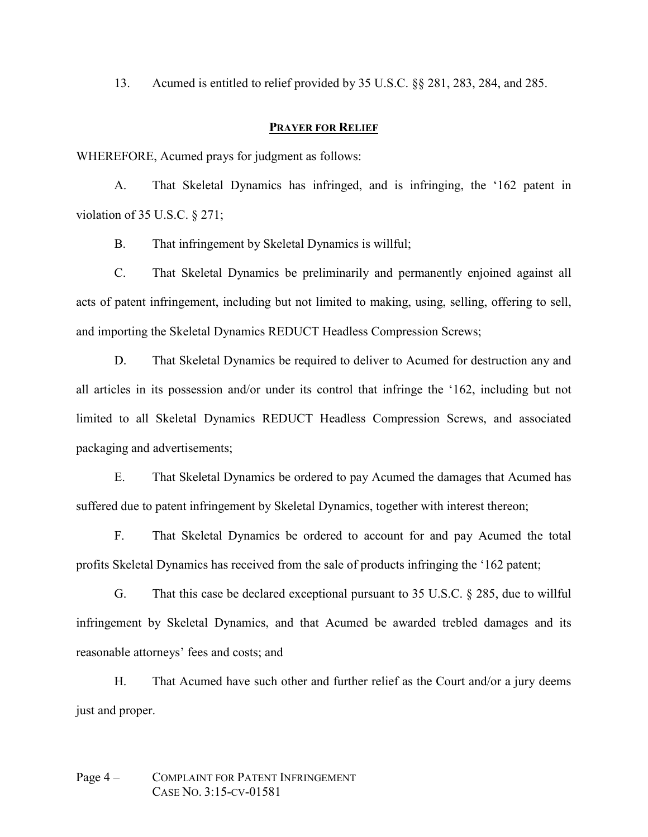13. Acumed is entitled to relief provided by 35 U.S.C. §§ 281, 283, 284, and 285.

## **PRAYER FOR RELIEF**

WHEREFORE, Acumed prays for judgment as follows:

A. That Skeletal Dynamics has infringed, and is infringing, the '162 patent in violation of 35 U.S.C. § 271;

B. That infringement by Skeletal Dynamics is willful;

C. That Skeletal Dynamics be preliminarily and permanently enjoined against all acts of patent infringement, including but not limited to making, using, selling, offering to sell, and importing the Skeletal Dynamics REDUCT Headless Compression Screws;

D. That Skeletal Dynamics be required to deliver to Acumed for destruction any and all articles in its possession and/or under its control that infringe the '162, including but not limited to all Skeletal Dynamics REDUCT Headless Compression Screws, and associated packaging and advertisements;

E. That Skeletal Dynamics be ordered to pay Acumed the damages that Acumed has suffered due to patent infringement by Skeletal Dynamics, together with interest thereon;

F. That Skeletal Dynamics be ordered to account for and pay Acumed the total profits Skeletal Dynamics has received from the sale of products infringing the '162 patent;

G. That this case be declared exceptional pursuant to 35 U.S.C. § 285, due to willful infringement by Skeletal Dynamics, and that Acumed be awarded trebled damages and its reasonable attorneys' fees and costs; and

H. That Acumed have such other and further relief as the Court and/or a jury deems just and proper.

# Page 4 – COMPLAINT FOR PATENT INFRINGEMENT CASE NO. 3:15-CV-01581